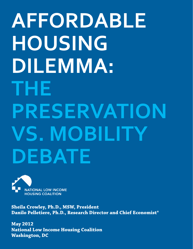# **AFFORDABLE HOUSING DILEMMA: THE PRESERVATION VS. MOBILITY DEBATE**



**Sheila Crowley, Ph.D., MSW, President Danilo Pelletiere, Ph.D., Research Director and Chief Economist\***

**May 2012 National Low Income Housing Coalition Washington, DC**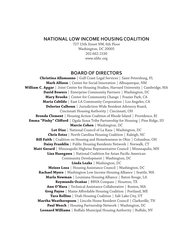#### **NATIONAL LOW INCOME HOUSING COALITION**

727 15th Street NW, 6th Floor Washington, DC 20005 202.662.1530 www.nlihc.org

#### **BOARD OF DIRECTORS**

**Christina Allamanno** | Gulf Coast Legal Services | Saint Petersburg, FL **Mark Allison** | Center for Social Innovation | Albuquerque, NM **William C. Apgar** | Joint Center for Housing Studies, Harvard University | Cambridge, MA **David Bowers** | Enterprise Community Partners | Washington, DC **Mary Brooks** | Center for Community Change | Frazier Park, CA **Maria Cabildo** | East LA Community Corporation | Los Angeles, CA **Delorise Calhoun** | Jurisdiction-Wide Resident Advisory Board, Cincinnati Housing Authority | Cincinnati, OH **Brenda Clement** | Housing Action Coalition of Rhode Island | Providence, RI **Emma "Pinky" Clifford** | Ogala Sioux Tribe Partnership for Housing | Pine Ridge, SD **Marcie Cohen** | Washington, DC **Lot Diaz** | National Council of La Raza | Washington, DC **Chris Estes** | North Carolina Housing Coalition | Raleigh, NC **Bill Faith** | Coalition on Housing and Homelessness in Ohio | Columbus, OH **Daisy Franklin** | Public Housing Residents Network | Norwalk, CT **Matt Gerard** | Minneapolis Highrise Representative Council | Minneapolis, MN **Lisa Hasegawa** | National Coalition for Asian Pacific American Community Development | Washington, DC **Linda Leaks** | Washington, DC **Moises Loza** | Housing Assistance Council | Washington, DC **Rachael Myers** | Washington Low Income Housing Alliance | Seattle, WA **Marla Newman** | Louisiana Housing Alliance | Baton Rouge, LA **Reymundo Ocañas** | BBVA Compass | Houston, TX **Ann O'Hara** | Technical Assistance Collaborative | Boston, MA **Greg Payne** | Maine Affordable Housing Coalition | Portland, ME **Tara Rollins** | Utah Housing Coalition | Salt Lake City, UT **Martha Weatherspoon** | Lincoln Home Resident Council | Clarksville, TN **Paul Weech** | Housing Partnership Network | Washington, DC **Leonard Williams** | Buffalo Municipal Housing Authority | Buffalo, NY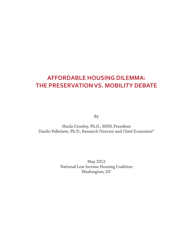### **AFFORDABLE HOUSING DILEMMA: THE PRESERVATION VS. MOBILITY DEBATE**

By

Sheila Crowley, Ph.D., MSW, President Danilo Pelletiere, Ph.D., Research Director and Chief Economist\*

> May 2012 National Low Income Housing Coalition Washington, DC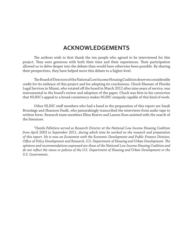### **ACKNOWLEDGEMENTS**

The authors wish to first thank the ten people who agreed to be interviewed for this project. They were generous with both their time and their experiences. Their participation allowed us to delve deeper into the debate than would have otherwise been possible. By sharing their perspectives, they have helped move this debate to a higher level.

The Board of Directors of the National Low Income Housing Coalition deserves considerable credit for its embrace of this project and for adopting its conclusions. Chuck Elsesser of Florida Legal Services in Miami, who rotated off the board in March 2012 after nine years of service, was instrumental in the board's review and adoption of the paper. Chuck was firm in his conviction that NLIHC's appeal to a broad consistency makes NLIHC uniquely capable of this kind of work.

 Other NLIHC staff members who had a hand in the preparation of this report are Sarah Brundage and Shannon Faulk, who painstakingly transcribed the interviews from audio tape to written form. Research team members Elina Bravve and Lauren Ross assisted with the search of the literature.

 *\*Danilo Pelletiere served as Research Director at the National Low Income Housing Coalition from April 2003 to September 2011, during which time he worked on the research and preparation of this report. He is now an Economist with the Economic Development and Public Finance Division, Office of Policy Development and Research, U.S. Department of Housing and Urban Development. The opinions and recommendations expressed are those of the National Low Income Housing Coalition and do not refl ect the views or policies of the U.S. Department of Housing and Urban Development or the U.S. Government.*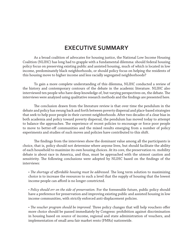### **EXECUTIVE SUMMARY**

 As a broad coalition of advocates for housing justice, the National Low Income Housing Coalition (NLIHC) has long had to grapple with a fundamental dilemma: should federal housing policy focus on preserving existing public and assisted housing, much of which is located in low income, predominately black neighborhoods, or should policy focus on helping the residents of this housing move to higher income and less racially segregated neighborhoods?

 To gain a more complete understanding of this dilemma, NLIHC conducted a review of the history and contemporary contours of the debate in the academic literature. NLIHC also interviewed ten people who have deep knowledge of, but varying perspectives on, the debate. The interviews were analyzed using qualitative research methods and the findings are presented here.

The conclusion drawn from the literature review is that over time the pendulum in the debate and policy has swung back and forth between poverty dispersal and place-based strategies that seek to help poor people in their current neighborhoods. After two decades of a clear bias in both academia and policy toward poverty dispersal, the pendulum has moved today to attempt to balance the approaches. The experience of recent policies to encourage or force poor people to move to better-off communities and the mixed results emerging from a number of policy experiments and studies of such moves and policies have contributed to this shift.

The findings from the interviews show the dominant value among all the participants is choice, that is, policy should not determine where anyone lives, but should facilitate the ability of each household to maximize its own housing choices. At its core, the preservation vs. mobility debate is about race in America, and thus, must be approached with the utmost caution and sensitivity. The following conclusions were adopted by NLIHC based on the findings of the interviews:

• *The shortage of affordable housing must be addressed*. The long term solution to maximizing choice is to increase the resources to such a level that the supply of housing that the lowest income people can afford is no longer constricted.

• *Policy should err on the side of preservation.* For the foreseeable future, public policy should have a preference for preservation and improving existing public and assisted housing in low income communities, with strictly enforced anti-displacement policies.

• *The voucher program should be improved*. Three policy changes that will help vouchers offer more choice should be passed immediately by Congress: prohibition against discrimination in housing based on source of income, regional and state administration of vouchers, and implementation of small area fair market rents (FMRs) nationwide.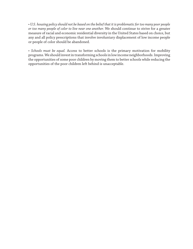• *U.S. housing policy should not be based on the belief that it is problematic for too many poor people or too many people of color to live near one another.* We should continue to strive for a greater measure of racial and economic residential diversity in the United States based on choice, but any and all policy prescriptions that involve involuntary displacement of low income people or people of color should be abandoned.

• *Schools must be equal.* Access to better schools is the primary motivation for mobility programs. We should invest in transforming schools in low income neighborhoods. Improving the opportunities of some poor children by moving them to better schools while reducing the opportunities of the poor children left behind is unacceptable.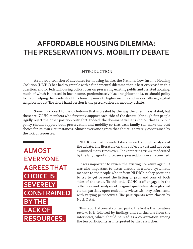### **AFFORDABLE HOUSING DILEMMA: FFORDABLE HOUSING DILEMMA: THE PRESERVATION VS. MOBILITY DEBATE**

#### INTRODUCTION

 As a broad coalition of advocates for housing justice, the National Low Income Housing Coalition (NLIHC) has had to grapple with a fundamental dilemma that is best expressed in this question: should federal housing policy focus on preserving existing public and assisted housing, much of which is located in low income, predominately black neighborhoods, or should policy focus on helping the residents of this housing move to higher income and less racially segregated neighborhoods? The short hand version is the preservation vs. mobility debate.

 Some may object to the dichotomy that is created by the way the dilemma is stated, but there are NLIHC members who fervently support each side of the debate (although few people rigidly reject the other position outright). Indeed, the dominant value is choice, that is, public policy should support both preservation and mobility so that each family can make the best choice for its own circumstances. Almost everyone agrees that choice is severely constrained by the lack of resources.

 **ALMOST EVERYONE AGREES THAT CHOICE IS SEVERELY CONSTRAINED BY THE LACK OF RESOURCES.** 

 NLIHC decided to undertake a more thorough analysis of the debate. The literature on this subject is vast and has been examined many times over. The competing views, moderated by the language of choice, are expressed, but never reconciled.

 It was important to review the existing literature again. It was also important to listen directly in a more systematic manner to the people who inform NLIHC's policy positions to try to get beyond the listing of pros and cons of both sides of the issue. To this end, NLIHC staff engaged in the collection and analysis of original qualitative data gleaned via ten partially open-ended interviews with key informants with varying perspectives. The participants were chosen by NLIHC staff.

This report of consists of two parts. The first is the literature review. It is followed by findings and conclusions from the interviews, which should be read as a conversation among the ten participants as interpreted by the researcher.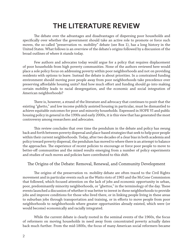# **THE LITERATURE REVIEW HE LITERATURE REVIEW**

The debate over the advantages and disadvantages of dispersing poor households and specifically over whether the government should take an active role to promote or force such moves, the so-called "preservation vs. mobility" debate (see Box 1), has a long history in the United States. What follows is an overview of the debate's origins followed by a discussion of the broad outlines of where it stands today.

 Few authors and advocates today would argue for a policy that requires displacement of poor households from high poverty communities. None of the authors reviewed here would place a sole policy focus on addressing poverty within poor neighborhoods and not on providing residents with options to leave. Instead the debate is about priorities. In a constrained funding environment should moving poor people away from poor neighborhoods take precedence over preserving affordable housing units? And how much effort and funding should go into making certain mobility leads to racial desegregation, and the economic and social integration of American neighborhoods?

There is, however, a strand of the literature and advocacy that continues to posit that the existing "ghetto," and low income publicly assisted housing in particular, must be dismantled to achieve equitable outcomes for poor and minority households. Expressed in HOPE VI and public housing policy in general in the 1990s and early 2000s, it is this view that has generated the most controversy among researchers and advocates.

This review concludes that over time the pendulum in the debate and policy has swung back and forth between poverty dispersal and place-based strategies that seek to help poor people within their current neighborhoods. Today, after two decades of a clear bias in both academia and policy toward poverty dispersal, the pendulum has moved to where there is an attempt to balance the approaches. The experience of recent policies to encourage or force poor people to move to better-off communities and the mixed results emerging from a number of policy experiments and studies of such moves and policies have contributed to this shift.

#### The Origins of the Debate: Removal, Renewal, and Community Development

The origins of the preservation vs. mobility debate are often traced to the Civil Rights movement and in particular events such as the Watts riots of 1965 and the McCone Commission that followed, which focused attention on the lack of jobs and economic opportunity in urban, poor, predominantly minority neighborhoods, or "ghettos," in the terminology of the day. These events launched a discussion of whether it was better to invest in these neighborhoods to provide jobs and improve conditions for those who lived there, or in linking people living in these areas to suburban jobs through transportation and training, or in efforts to move people from poor neighborhoods to neighborhoods where greater opportunities already existed, which were (or would become) economically and racially integrated.

 While the current debate is clearly rooted in the seminal events of the 1960s, the focus of reformers on moving households in need away from concentrated poverty actually dates back much further. From the mid-1800s, the focus of many American social reformers became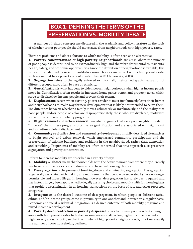### **BOX 1: DEFINING THE TERMS OF THE PRESERVATION VS. MOBILITY DEBATE**

 A number of related concepts are discussed in the academic and policy literature on the topic of whether or not poor people should move away from neighborhoods with high poverty rates.

There are problems and older solutions to which mobility is often seen as an alternative.

**1. Poverty concentrations** or **high poverty neighborhoods** are areas where the number of poor people is determined to be extraordinarily high and therefore detrimental to residents' health, safety, and economic opportunities. Since the definition of neighborhood is variable, this is most often defined by recent quantitative research as a census tract with a high poverty rate, such as one that has a poverty rate of greater than 40% (Jargowsky, 2003).

**2. Segregation** refers to the legally enforced or informally maintained spatial separation of different groups, most often by race or ethnicity.

**3. Gentrification** is what happens to older, poorer neighborhoods when higher income people move in. Gentrification often results in increased home prices, rents, and property taxes, which serve to displace low income people and prevent their return.

**4. Displacement** occurs when existing, poorer residents must involuntarily leave their homes and neighborhoods to make way for new development that is likely not intended to serve them. The difference between whether a family moves voluntarily or involuntarily, and the reality that poor people and/or people of color are disproportionately those who are displaced, motivates some of the criticism of mobility programs.

**5. Blight removal** and **urban renewal** describe programs that raze poor neighborhoods to "improve" them. These programs often serve gentrification and are associated with significant and sometimes violent displacement.

**6. Community revitalization** and **community development** initially described alternatives to blight removal and urban renewal, which emphasized community participation and the preservation of existing buildings and residents in the neighborhood, rather than demolition and rebuilding. Proponents of mobility are often concerned that this approach also preserves segregation and poverty concentration.

Efforts to increase mobility are described in a variety of ways.

**1. Mobility** or **choice** mean that households with the desire to move from where they currently live have no undue restrictions in doing so and have real housing choices.

**2. Desegregation** is the process of breaking down and eliminating segregation. Desegregation is generally associated with making any requirements that people be separated by race no longer permissible and indeed illegal. In housing, however, desegregation has rarely been required and has instead largely been approached by legally assuring choice and mobility with fair housing laws that prohibit discrimination in all housing transactions on the basis of race and other protected categories.

**3. Integration** is the desired outcome of desegregation, in which people of different racial, ethnic, and/or income groups come in proximity to one another and interact on a regular basis. Economic and racial residential integration is a desired outcome of both mobility programs and mixed income redevelopment.

**4. Poverty deconcentration** or **poverty dispersal** refers to moving poor residents living in areas with high poverty rates to higher income areas or attracting higher income residents into high poverty areas, or both, so that the number of high poverty neighborhoods, if not necessarily the number of poor households, declines.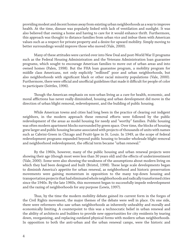providing modest and decent homes away from existing urban neighborhoods as a way to improve health. At the time, disease was popularly linked with lack of ventilation and sunlight. It was also believed that owning a home and having to care for it would enhance thrift. Furthermore, this approach was thought to distance families from urban vice and imbue them with American values such as a respect for private property and a desire for upward mobility. Simply moving to better surroundings would improve those who moved (Vale, 2000).

 Many of these attitudes were carried over into New Deal and post-World War II programs such as the Federal Housing Administration and the Veterans Administration loan guarantee programs, which sought to encourage American families to move out of urban areas and into owned homes (Palen, 1998). But the FHA loan guarantee program, a mobility program for middle class Americans, not only explicitly "redlined" poor and urban neighborhoods, but also neighborhoods with significant black or other racial minority populations (Vale, 2000). Furthermore, there were official and unofficial guidelines that made it difficult for people of color to participate (Seittles, 1996).

Though the American emphasis on non-urban living as a cure for health, economic, and moral afflictions has never really diminished, housing and urban development did move in the direction of urban blight removal, redevelopment, and the building of public housing.

 While American towns and cities had long been in the practice of clearing out indigent neighbors, in the modern approach these removal efforts were followed by the public redevelopment of the areas as model housing for needy and "worthy" families. Public housing was often modern apartment blocks surrounded by green space. Over time, the blocks of housing grew larger and public housing became associated with projects of thousands of units with names such as Cabrini-Green in Chicago and Pruitt-Igoe in St. Louis. In 1949, as the scope of federal redevelopment programs expanded beyond public housing to broader wholesale blight removal and neighborhood redevelopment, the official term became "urban renewal."

 By the 1960s, however, many of the public housing and urban renewal projects were showing their age (though most were less than 30 years old) and the effects of underinvestment (Vale, 2000). Some were also showing the weakness of the assumptions about modern living on which they had been designed and built (Bristol, 1998). These large scale developments began to diminish America's appetite for urban renewal, as neighborhood and historic preservation movements were gaining momentum in opposition to the many top-down housing and transportation projects that had eliminated whole neighborhoods and radically transformed cities since the 1940s. By the late 1960s, this movement began to successfully impede redevelopment and the razing of neighborhoods for any purpose (Lewis, 1997).

Thus, by the time the modern mobility debate gained its current form in the forges of the Civil Rights movement, the major themes of the debate were well in place. On one side, there were reformers who saw urban neighborhoods as inherently unhealthy and morally and economically limiting. A counterpoint to this was a technocratic belief in urban renewal and the ability of architects and builders to provide new opportunities for city residents by tearing down, reorganizing, and replacing outdated physical forms with modern urban neighborhoods. In opposition to both the anti-urban and the urban renewal camps, were the historic and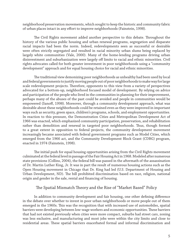neighborhood preservation movements, which sought to keep the historic and community fabric of urban places intact in any effort to improve neighborhoods (Fainstein, 1998).

The Civil Rights movement added another perspective to this debate. Throughout the history of the various public housing and urban renewal programs, segregation and disparate racial impacts had been the norm. Indeed, redevelopments seen as successful or desirable were often strictly segregated and resulted in racial minority urban slums being replaced by largely white communities (Vale, 2000). Many of the home-lending programs driving urban disinvestment and suburbanization were largely off limits to racial and ethnic minorities. Civil rights advocates called for both greater investment in poor neighborhoods using a "community development" approach and for equal housing choice for racial and ethnic minorities.

The traditional view demonizing poor neighborhoods as unhealthy had been used by local and federal governments to justify moving people out of poor neighborhoods to make way for large scale redevelopment projects. Therefore, opponents to this view from a variety of perspectives advocated for a bottom-up, neighborhood focused model of development. By relying on advice and participation of the people who lived in the communities in planning for their improvement, perhaps many of the abuses of the past could be avoided and people in communities would be empowered (Sanoff, 1998). Moreover, through a community development approach, what was desirable about these neighborhoods could be retained even as they were improved in important ways such as security, green space, children's programs, schools, and employment opportunities. In reaction to this pressure, the Demonstration Cities and Metropolitan Development Act of 1966 was enacted, which emphasized community participation, preservation, and rehabilitation rather than demolition and renewal in targeted poor neighborhoods. Thus, though formed to a great extent in opposition to federal projects, the community development movement increasingly became associated with federal government programs such as Model Cities, which emerged from the 1966 act, and the Community Development Block Grant (CDBG) program, enacted in 1974 (Fainstein, 1998).

The initial push for equal housing opportunities arising from the Civil Rights movement culminated at the federal level in passage of the Fair Housing Act in 1968. Modeled after numerous state provisions (Collins, 2004), the federal bill was passed in the aftermath of the assassination of Dr. Martin Luther King, Jr. It was in part the result of numerous housing actions such as the Open Housing movement in Chicago that Dr. King had led (U.S. Department of Housing and Urban Development, ND). The bill prohibited discrimination based on race, religion, national origin and gender in the sale, rental and financing of housing.

#### The Spatial Mismatch Theory and the Rise of "Market Based" Policy

In addition to community development and fair housing, one other defining difference in the debate over whether to invest in poor urban neighborhoods or move people out of them emerged in the 1960s. This was the recognition that with increased use of automobiles, spatial barriers were developing between low-wage workers and economic opportunities. These barriers that had not existed previously when cities were more compact, suburbs had street cars, zoning was less exclusive, and manufacturing and most jobs were within the city limits and close to residential areas. These spatial barriers exacerbated formal and informal discrimination and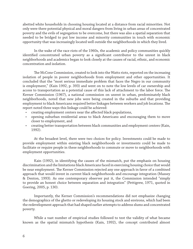abetted white households in choosing housing located at a distance from racial minorities. Not only were there potential physical and moral dangers from living in urban areas of concentrated poverty and the evils of segregation to be overcome, but there was also a spatial separation that needed to be bridged to put low income and minority communities in touch with economic opportunity that was increasingly located well outside the neighborhoods in which they lived.

 In the wake of the race riots of the 1960s, the academic and policy communities quickly identified concentrated urban poverty as a significant contributor to the unrest in black neighborhoods and academics began to look closely at the causes of racial, ethnic, and economic concentration and isolation.

The McCone Commission, created to look into the Watts riots, reported on the increasing isolation of people in poorer neighborhoods from employment and other opportunities. It concluded that the "most serious immediate problem that faces the Negro in our community is employment," (Kain 1992, p. 393) and went on to note the low levels of car ownership and access to transportation as a potential cause of this lack of attachment to the labor force. The Kerner Commission (1967), a national commission on unrest in urban, predominately black neighborhoods, noted that new jobs were being created in the suburbs and that providing employment to black Americans required better linkages between workers and job locations. The report noted three ways this linkage could be achieved:

- creating employment centers near the affected black populations,
- opening suburban residential areas to black Americans and encouraging them to move closer to employment, and
- creating better transportation between black communities and employment centers (Kain, 1992).

 At the broadest level, there were two choices for policy. Investments could be made to provide employment within existing black neighborhoods or investments could be made to facilitate or require people in these neighborhoods to commute or move to neighborhoods with employment opportunities.

 Kain (1992), in identifying the causes of the mismatch, put the emphasis on housing discrimination and the limitations black Americans faced in exercising housing choice that would be near employment. The Kerner Commission rejected any one approach in favor of a combined approach that would invest in current black neighborhoods and encourage integration (Massey & Denton, 1993). As one contemporary observer put it, the Commission intended "simply to provide an honest choice between separation and integration" (Pettigrew, 1971, quoted in Goering, 2005, p. 130).

 Importantly, the Kerner Commission's recommendations did not emphasize changing the demographics of the ghetto or redeveloping its housing stock and environs, which had been the redevelopment approach that had shaped earlier attempts to address slums and concentrated poverty.

 While a vast number of empirical studies followed to test the validity of what became known as the spatial mismatch hypothesis (Kain, 1992), the concept contributed almost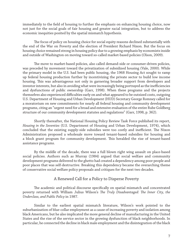immediately to the field of housing to further the emphasis on enhancing housing choice, now not just for the social goals of fair housing and greater racial integration, but to address the economic inequities posited by the spatial mismatch hypothesis.

The focus of policy on housing choice for social equity reasons declined substantially with the end of the War on Poverty and the election of President Richard Nixon. But the focus on housing choice remained strong in housing policy due to a growing emphasis by economists inside and outside of Washington on moving toward so-called market-based policies (Olson, 2009).

The move to market-based policies, also called demand-side or consumer-driven policies, was preceded by movement toward the privatization of subsidized housing (Vale, 2000). While the primary model in the U.S. had been public housing, the 1968 Housing Act sought to ramp up federal housing production further by incentivizing the private sector to build low income housing. This was advantageous not only in garnering broader support from developers and investor interests, but also in avoiding what were increasingly being portrayed as the inefficiencies and dysfunctions of public ownership (Garr, 1998). When these programs and the projects themselves also experienced difficulties early on and what appeared to be outsized costs, outgoing U.S. Department of Housing and Urban Development (HUD) Secretary George Romney called for a moratorium on new commitments for nearly all federal housing and community development programs, citing an "urgent need for a broad and extensive evaluation of the entire Rube Goldberg structure of our community development statutes and regulations" (Garr, 1998, p. 362).

 Shortly thereafter, the National Housing Policy Review Task Force published its report, *Housing in the Seventies* (U.S. Department of Housing and Urban Development, 1974), which concluded that the existing supply-side subsidies were too costly and inefficient. The Nixon Administration proposed a wholesale move toward tenant-based subsidies for housing and a block grant program for community development. This heralded the rise of tenant-based assistance programs.

 By the middle of the decade, there was a full blown right wing assault on place-based social policies. Authors such as Murray (1984) argued that social welfare and community development programs delivered to the ghetto had created a dependency among poor people and poor places that was self-destructive. Breaking this dependency became the overarching theme of conservative social welfare policy proposals and critiques for the next two decades.

#### A Renewed Call for a Policy to Disperse Poverty

The academic and political discourse specifically on spatial mismatch and concentrated poverty returned with William Julius Wilson's *The Truly Disadvantaged: The Inner City, the Underclass, and Public Policy* in 1987.

 Similar to the earliest spatial mismatch literature, Wilson's work pointed to the suburbanization of blue-collar employment as a cause of increasing poverty and isolation among black Americans, but he also implicated the more general decline of manufacturing in the United States and the rise of the service sector in the growing dysfunction of black neighborhoods. In particular, he connected the decline in black male employment and the disintegration of the black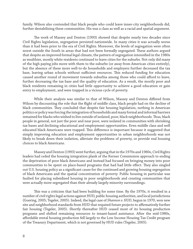family. Wilson also contended that black people who could leave inner-city neighborhoods did, further destabilizing these communities. His was a class as well as a racial and spatial argument.

The work of Massey and Denton (1993) showed that despite nearly two decades since Civil Rights legislation, segregation persisted nationwide. In many cities it was actually worse than it had been prior to the era of Civil Rights. Moreover, the levels of segregation were often worst outside the South in areas that had not been formally segregated. These authors argued that despite an improved formal legal climate, the pattern of segregation intensified in the 1980s as wealthier, mostly white residents continued to leave cities for the suburbs. Not only did many of the high paying jobs move with them to the suburbs (or away from American cities entirely), but the absence of these more well-to-do households and employers further decreased the tax base, leaving urban schools without sufficient resources. This reduced funding for education caused another round of movement towards suburbia among those who could afford to leave, further decreasing the tax base and the quality of education. As a result, the mostly poor and black residents remaining in cities had little opportunity to achieve a good education or gain entry to employment, and were trapped in a vicious cycle of poverty.

While their analysis was similar to that of Wilson, Massey and Denton differed from Wilson by discounting the role that the flight of middle class, black people had on the decline of black communities. They concluded that despite fair housing legislation, nothing in American politics or policy was forcing the integration of households and many formal and informal barriers remained for blacks who wished to live outside of isolated, poor, black neighborhoods. Thus, black people in general, not just the poor and near poor, were isolated in communities with shrinking tax bases and declining educational and employment opportunities. Even middle class and well educated black Americans were trapped. This difference is important because it suggested that simply improving education and employment opportunities in urban neighborhoods was not likely to break down their isolation, alleviate the problems of poverty, or provide real housing choices to black Americans.

 Massey and Denton (1993) went further, arguing that in the 1970s and 1980s, Civil Rights leaders had ceded the housing integration plank of the Kerner Commission approach to ending the deprivation of poor black Americans and instead had focused on bringing money into poor communities to be spent on place-based programs that had had little effect. They also singled out U.S. housing policy as a significant cause for the continued and growing housing segregation of black Americans and the spatial concentration of poverty. Public housing in particular was faulted for placing subsidized housing in poor neighborhoods and creating communities that were actually more segregated than their already largely minority surroundings.

This was a criticism that had been building for some time. By the 1970s, it resulted in a number of civil rights legal actions against HUD, public housing authorities, and local jurisdictions (Goering, 2005; Tegeler, 2005). Indeed, the legal case of *Shannon v. HUD*, begun in 1970, won new site and neighborhood standards from HUD that required future projects to affirmatively further fair housing (Tegeler, 2005). Shortly thereafter HUD ceased most of its housing production programs and shifted remaining resources to tenant-based assistance. After the mid-1980s, affordable rental housing production fell largely to the Low Income Housing Tax Credit program of the Treasury Department, which is not governed by HUD rules (Tegeler, 2005).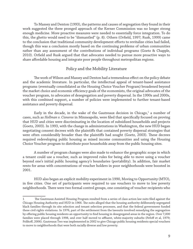To Massey and Denton (1993), the patterns and causes of segregation they found in their work suggested the three pronged approach of the Kerner Commission was no longer strong enough medicine. More proactive measures were needed to essentially force integration. To do this, the ghetto would need to be "dismantled" (p. 8). Others (Orfield, 1997; Rusk, 1999) came to the conclusion that traditional community development efforts to revitalize cities had failed, though this was a conclusion mostly based on the continuing problems of urban communities rather than any assessment of the contributions of individual programs (Goetz & Chapple, 2010). Orfield and Rusk argued that that advocates needed to pursue more proactive ways to share affordable housing and integrate poor people throughout metropolitan regions.

#### Policy and the Mobility Literature

The work of Wilson and Massey and Denton had a tremendous effect on the policy debate and the academic literature. In particular, the intellectual appeal of tenant-based assistance programs (eventually consolidated as the Housing Choice Voucher Program) broadened beyond the market choice and economic efficiency goals of the economists, the original advocates of the voucher program, to advocates of desegregation and poverty dispersal. In the 1990s and 2000s, with this combined support, a number of policies were implemented to further tenant-based assistance and poverty dispersal.

Early in the decade, in the wake of the Gautreaux decision in Chicago, $^1$  a number of cases, such as *Hollman v. Cisneros* in Minneapolis, were filed that specifically focused on proving that HUD and cities were discriminating in the location of subsidized households and projects (Goetz, 2003). In 1993, with the change in administrations in Washington, the new HUD began negotiating consent decrees with the plaintiffs that contained poverty dispersal strategies that were often considerably broader than the plaintiffs had sought (Goetz, 2003). These decrees required redeveloping public housing as mixed income communities and using the Housing Choice Voucher program to distribute poor households away from the public housing sites.

 A number of program changes were also made to enhance the geographic scope in which a tenant could use a voucher, such as improved rules for being able to move using a voucher beyond one's initial public housing agency's boundaries (portability). In addition, fair market rents for areas with concentrations of voucher holders in poor neighborhoods were boosted in 2001.

 HUD also began an explicit mobility experiment in 1990, Moving to Opportunity (MTO), in five cities. One set of participants were required to use vouchers to move to low poverty neighborhoods. There were two formal control groups, one consisting of voucher recipients who

<sup>1</sup> The Gautreaux Assisted Housing Program resulted from a series of class action law suits filed against the Chicago Housing Authority and HUD in 1966. The suits alleged that the housing authority deliberately segregated black families through its site selection and tenant selection processes, and that the federal government funded these civil rights violations. In 1976, part of the settlement from the lawsuits involved remedying the segregation by offering public housing residents an opportunity to find housing in desegregated areas in the region. Over 7,000 families were placed through 1998, and over half moved to affluent, white-majority suburbs (Pefoff et al, 1979; Polikoff, 2006). Gautreaux Two was implemented in 2002 to give Chicago public housing residents special vouchers to move to neighborhoods that were both racially diverse and low poverty.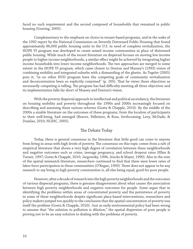faced no such requirement and the second composed of households that remained in public housing (Goering, 2005).

 Complementary to the emphasis on choice in tenant-based programs, and in the wake of the 1992 report by the National Commission on Severely Distressed Public Housing that found approximately 86,000 public housing units in the U.S. in need of complete revitalization, the HOPE VI program was developed to create mixed income communities in place of distressed public housing. While much of the recent literature on dispersal focuses on moving low income people to higher income neighborhoods, a similar effect might be achieved by integrating higher income households into lower income neighborhoods. The two approaches are merged to some extent in the HOPE VI program, which came closest to Denton and Massey's (1993) vision of combining mobility and integrated suburbs with a dismantling of the ghetto. As Tegeler (2005) puts it, "in no other HUD program have the competing goals of community revitalization and deconcentration been so explicitly conjoined" (p. 205). That he views these objectives as necessarily competing is telling. The program has had difficulty meeting all three objectives and its implementation falls far short of Massey and Denton's vision.

 With the poverty dispersal approach in intellectual and political ascendancy, the literature on housing mobility and poverty throughout the 1990s and 2000s increasingly focused on describing and assessing these various reforms (Goetz & Chapple, 2010). By the middle of the 2000s a sizable literature on the outcomes of these programs, from the location of participants to their well-being, had emerged (Bravve, Pelletiere, & Ross, forthcoming; Levy, McDade, & Dumlao, 2010; NLIHC, 2005).

#### The Debate Today

 Today, there is general consensus in the literature that little good can come to anyone from living in areas with high levels of poverty. The consensus on this topic comes from a raft of empirical literature that shows a very high degree of correlation between these neighborhoods and negative outcomes such as crime, teenage pregnancy, and school dropout rates (Ellen & Turner, 1997; Goetz & Chapple, 2010; Jargowsky, 1996; Jencks & Mayer, 1990). Also in the vein of the spatial mismatch literature, researchers continued to find that there were lower rates of labor force participation in these communities (O'Regan, 1993). There does not appear to be any research to say living in high poverty communities is, all else being equal, good for poor people.

 However, after a decade of research into the high poverty neighborhoods and the outcomes of various dispersal programs, there is genuine disagreement about what causes the association between high poverty neighborhoods and negative outcomes for people. Some argue that in identifying the problems within areas of concentrated poverty and the persistence of poverty in some of these neighborhoods despite significant place-based interventions, researchers and policy makers jumped too quickly to the conclusion that the spatial concentration of poverty was itself the problem (Goetz & Chapple, 2010). Just as early environmental policy had been wrong to assume that "the solution to pollution is dilution," the spatial dispersion of poor people is proving not to be an easy solution to dealing with the problems of poverty.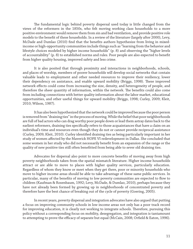The fundamental logic behind poverty dispersal used today is little changed from the views of the reformers in the 1850s, who felt moving working class households to a more positive environment would remove them from sin and bad ventilation, and provide positive role models to the benefit of these households. In a review of the literature (largely after 2000), Levy, McDade and Dumlao (2010) find that the benefits authors hypothesize from living in mixedincome or high-opportunity communities include things such as "learning from the behavior and lifestyle choices modeled by higher income households" (p. 8) and observing the "higher levels of accountability" (p. 8) to established norms and rules. Poor people are also expected to benefit from higher quality housing, improved safety and less crime.

 It is also posited that through proximity and interactions in neighborhoods, schools, and places of worship, members of poorer households will develop social networks that contain valuable leads to employment and other needed resources to improve their resiliency, lower their dependency on assistance, and enable upward mobility (Briggs, 1998). These improved network effects could come from increasing the size, density, and heterogeneity of people, and therefore the sheer quantity of information, within the network. The benefits could also come from including connections with better quality information about the labor market, educational opportunities, and other useful things for upward mobility (Briggs, 1998; Curley, 2009; Kleit, 2010; Wilson, 1987).

 It has also been hypothesized that the network could be improved because the poor person is removed from "draining ties" in the process of moving. While the belief that poor neighborhoods are full of bad actors who can drag worthy poor people down or lead them astray dates back to the earliest reformers, draining ties specifically refers to those acquaintances that have a claim on an individual's time and resources even though they do not or cannot provide reciprocal assistance (Curley, 2009; Kleit, 2010). Curley identified draining ties as being particularly important in her study of women affected by the Maverick HOPE VI redevelopment in Dallas. She concluded that some women in her study who did not necessarily benefit from an expansion of the range or the quality of new positive ties still often benefitted from being able to sever old draining ties.

Advocates for dispersal also point to more concrete benefits of moving away from high poverty neighborhoods taken from the spatial mismatch literature. Higher income households attract or are able to move to places with higher quality services, particularly education. Regardless of whom they know or meet when they get there, poor or minority households who move to higher income areas should be able to take advantage of these same public services. In particular, many of the benefits of moving to low poverty communities are expected to flow to children (Kaufman & Rosenbaum, 1992; Levy, McDade, & Dumlao, 2010), perhaps because they have not already been formed by growing up in neighborhoods of concentrated poverty and therefore have the best chance of breaking out of the cycle of poverty (Goering, 2005).

 In recent years, poverty dispersal and integration advocates have also argued that putting a focus on improving community schools in low income areas not only has a poor track record for improving education, it is clearly not working to integrate schools. Therefore, pursuing this policy without a corresponding focus on mobility, desegregation, and integration is tantamount to attempting to prove the efficacy of separate but equal (McCain, 2008; Orfield & Eaton, 1996).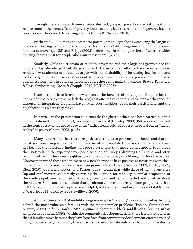Through these various channels, advocates today expect poverty dispersal to not only relieve some of the worst effects of poverty, but to actually lead to a reduction in poverty itself, a conclusion authors reach to varying extents (Goetz & Chapple, 2010).

 By the mid-2000s, many advocates for proactive mobility policies were using the language of choice. Goering (2005), for example, is clear that mobility programs should "not require families to move" (p. 139) and Briggs (2005) defines the threshold question as "whether wider housing choices exist for people who *want* to use them" (p. 25).

 Similarly, while the criticism of mobility programs and their logic has grown since the middle of last decade, particularly as empirical studies of their efficacy have returned mixed results, few academics or advocates argue with the desirability of increasing low income and particularly minority households' residential choices or with the very real possibility of improved outcomes from living in better neighborhoods for those who make that choice (Bravve, Pelletiere, & Ross, forthcoming; Goetz & Chapple, 2010; NLIHC, 2005).

Instead the debate is over how universal the benefits of moving are likely to be, the nature of the choice to move (or lack thereof) that affected residents, and the impact that specific dispersal or integration programs have had in poor neighborhoods, their participants, and the neighborhoods where they move.

 In particular the prescription to dismantle the ghetto, which has been carried out in a limited fashion through HOPE VI, has been controversial (Crowley, 2009). But as one author put it, the controversy tends not to be over the "rather clean logic" of poverty dispersal but its "messy reality" as policy (Goetz, 2003, p. 18).

Many authors find that there are positive attributes to poor neighborhoods and that the negatives from living in poor communities are often overstated. The social network literature has been at the forefront, finding that poor households that move do not appear to improve their networks in the expected ways (see discussion of Curley's "draining ties" above) and often remain isolated in their new neighborhoods or continue to rely on old neighborhood networks. Moreover, many of these who move to new neighborhoods have positive associations with their old neighborhoods and the place-based programs offered there (Crowley, 2009; Curley, 2009; Kleit, 2010). Coulton, Theodos, and Turner (2009), found that while three of ten movers were "up and out" movers, voluntarily exercising their option for mobility, a similar proportion of the study population remained in the neighborhoods and felt connected and positive about their future. Some authors conclude that involuntary moves that result from programs such as HOPE VI are not merely disruptive or unhelpful, but traumatic, and in some cases fatal (Cohen & Wardrip, 2011; Crowley, 2009; Fullilove, 2000).

 Another concern is that mobility programs may be "creaming" poor communities, leaving behind the most vulnerable families with the most complex problems (Popkin, Cunningham, & Burt, 2005), *a la* Wilson's (1987) argument about the black middle class leaving urban neighborhoods in the 1980s. Within the community development field, there is a related concern that if families move because they have benefited from community development efforts targeted at high poverty neighborhoods, there may be two unfortunate outcomes (Coulton, Theodos, &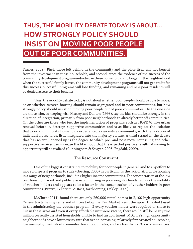# **THUS, THE MOBILITY DEBATE TODAY IS ABOUT… HOW STRONGLY POLICY SHOULD OW STRONGLY POLICY SHOULD INSIST ON MOVING POOR PEOPLE OUT OF POOR COMMUNITIES.**

Turner, 2009). First, those left behind in the community and the place itself will not benefit from the investment in these households, and second, since the evidence of the success of the community development program embodied in these households is no longer in the neighborhood when the successful family leaves, the community development programs will not get credit for this success. Successful programs will lose funding, and remaining and new poor residents will be denied access to their benefits.

Thus, the mobility debate today is not about whether poor people should be able to move, or on whether assisted housing should remain segregated and in poor communities, but how strongly policy should insist on moving poor people out of poor communities. On the one side are those who, in keeping with Massey and Denton (1993), say the bias should be strongly in the direction of integration, primarily from poor neighborhoods to already better off communities. On the other are those who feel the implementation of programs such as HOPE VI, like urban renewal before it, destroys supportive communities and is as likely to replace the isolation that poor and minority households experienced as an entire community, with the isolation of individual households, little integrated into the majority culture. A third strand in the debate that has recently opened up is the degree to which pre- and post-move counseling and other supportive services can increase the likelihood that the expected positive results of moving to opportunity will be realized (Cunningham & Sawyer, 2005; Engdahl, 2009).

#### The Resource Constraint

One of the biggest constraints to mobility for poor people in general, and to any effort to move a dispersal program to scale (Goering, 2005) in particular, is the lack of affordable housing in a range of neighborhoods, including higher income communities. The concentration of the low cost housing market and publicly assisted housing in poor neighborhoods reduces the mobility of voucher holders and appears to be a factor in the concentration of voucher holders in poor communities (Bravve, Pelletiere, & Ross, forthcoming; Oakley, 2009).

 McClure (2011) found there are only 260,000 rental homes in 2,100 high opportunity Census tracts having rents and utilities below the Fair Market Rent, the upper threshold used in the administering the voucher program. If every voucher holder were required or chose to live in these areas *and* even if every affordable unit were vacant, there would still be nearly two million currently assisted households unable to find an apartment. McClure's high opportunity neighborhoods have a low poverty rate that is not increasing, relatively few assisted households, low unemployment, short commutes, low dropout rates, and are less than 20% racial minorities.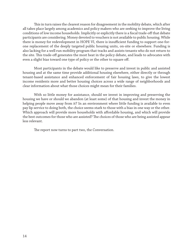This in turn raises the clearest reason for disagreement in the mobility debate, which after all takes place largely among academics and policy makers who are seeking to improve the living conditions of low income households. Implicitly or explicitly there is a fiscal trade-off that debate participants are considering. Money devoted to vouchers is not available to public housing. While there is money for redevelopment in HOPE VI, there is insufficient funding to support one-forone replacement of the deeply targeted public housing units, on-site or elsewhere. Funding is also lacking for a well run mobility program that tracks and assists tenants who do not return to the site. This trade-off generates the most heat in the policy debate, and leads to advocates with even a slight bias toward one type of policy or the other to square off.

 Most participants in the debate would like to preserve and invest in public and assisted housing and at the same time provide additional housing elsewhere, either directly or through tenant-based assistance and enhanced enforcement of fair housing laws, to give the lowest income residents more and better housing choices across a wide range of neighborhoods and clear information about what those choices might mean for their families.

 With so little money for assistance, should we invest in improving and preserving the housing we have or should we abandon (at least some) of that housing and invest the money in helping people move away from it? In an environment where little funding is available to even pay lip service to doing both, the choice seems stark to those with a bias in one way or the other. Which approach will provide more households with affordable housing, and which will provide the best outcomes for those who are assisted? The choices of those who are being assisted appear less relevant.

The report now turns to part two, the Conversation.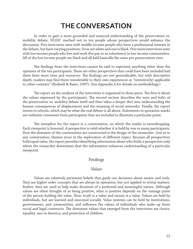# **THE CONVERSATION HE**

 In order to gain a more grounded and nuanced understanding of the preservation vs. mobility debate, NLIHC reached out to ten people whose perspectives would enhance the discussion. Five interviews were with middle income people who have a professional interest in the debate, but have varying positions. Four are white and one is black. Five more interviews were with low income people who live and work (for pay or as volunteers) in low income communities. All of the low income people are black and all held basically the same pro-preservation view.

The findings from the interviews cannot be said to represent anything other than the opinions of the ten participants. There are other perspectives that could have been included had there been more time and resources. The findings are not generalizable, but with descriptive depth, readers may find them transferable to their own experiences or "tentative(ly) applicable to other contexts" (Rodwell & Byers, 1997). (See Appendix A for details on methodology.)

The report on the analysis of the interviews is organized in three parts. The first is about the values expressed by the participants. The second section describes the nuts and bolts of the preservation vs. mobility debate itself and then takes a deeper dive into understanding the human consequences of displacement and the meaning of social networks. Finally, the report moves to schools, which may be what the real debate is all about. Statements in quotation marks are verbatim comments from participants that are included to illustrate a particular point.

The metaphor for the report is a conversation, on which the reader is eavesdropping. Each viewpoint is honored. A perspective is valid whether it is held by one or many participants. How the elements of the conversation are constructed is the design of the researcher. Just as in any conversation, themes recur in the exploration of different topics. Because all perspectives hold equal value, the report provides identifying information about who holds a perspective only where the researcher determines that the information enhances understanding of a particular viewpoint.

#### Findings

#### *Values*

 Values are relatively persistent beliefs that guide our decisions about means and ends. They are higher order concepts that are always in operation, but not applied to trivial matters. Rather, they are used to help make decisions of a profound and meaningful nature. Although values are often thought of as being positive, what is positive depends on the vantage point of the person holding the value. Thus, truth is a value and racism is a value. Values are held by individuals, but are learned and exercised socially. Value systems can be held by institutions, governments, and communities, and influence the values of individuals who make up these social and legal constructs. The dominant values that emerged from the interviews are choice, equality, race in America, and protection of children.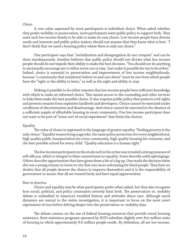#### *Choice.*

 A core value expressed by most participants is individual choice. When asked whether they prefer mobility or preservation, most participants want public policy to support both. They want each low income family to be able to make its own choice. Low income people have diverse needs and interests and public policy makers should not assume that they know what is best. "I don't think that we need a housing policy where there is only one choice."

 One participant says that "revitalization and desegregation do not compete" and can be done simultaneously. Another believes that public policy should not dictate what low income people should do nor impede their ability to make the best decision. "You should not do anything to necessarily encourage me to either move out or stay. Just make it possible for me to do either." Indeed, choice is essential to preservation and improvement of low income neighborhoods, because "a community that (residents) believe in and care about" must be one from which people have the "right or the ability to leave," as well as the right and ability to stay.

Making it possible to do either requires that low income people have sufficient knowledge with which to make an informed choice. This means access to the counseling and other services to help them make the best possible choice. It also requires public policy that protects civil rights and protects tenants from exploitive landlords and developers. Choice cannot be exercised under conditions of discrimination and disadvantage. And choice cannot be exercised in the absence of a sufficient supply of affordable housing in every community. One low income participant does not want to be part of "some sort of social experiment" that limits his choices.

#### *Equality.*

The value of choice is expressed in the language of greater equality. "Ending poverty is the only choice." Equality means living wage jobs, the same police protection for every neighborhood, high quality public transportation for every community, high quality housing for everyone, and the best possible school for every child. "Quality education is a human right."

The low income participants in the study each in his or her way revealed a strong measure of self-efficacy, which is integral to their commitment to equality. Some describe solid upbringings. Others describe opportunities that have given them a bit of a leg up. One made the decision when she was a young woman to move to city that was more welcoming for black people. They have no doubts that all people deserve the chance to improve themselves and it is the responsibility of government to assure that all are treated fairly and have equal opportunities.

#### *Race in America.*

 Choice and equality may be what participants prefer when asked, but they also recognize how social, political, and policy constraints severely limit both. The preservation vs. mobility debate is embedded in America's troubled history and attitudes about race. Although racial dynamics are central to the entire investigation, it is important to focus on the most overt expressions of race before delving deeper into the preservation vs. mobility data.

The debate centers on the use of federal housing resources that provide rental housing assistance. Rent assistance programs operated by HUD subsidize slightly over five million units of housing in which approximately 9.6 million people reside. By definition, all are low income.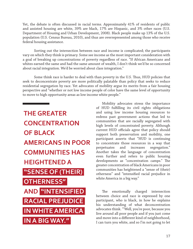Yet, the debate is often discussed in racial terms. Approximately 41% of residents of public and assisted housing are white, 39% are black, 17% are Hispanic, and 3% other races (U.S. Department of Housing and Urban Development, 2008). Black people make up 13% of the U.S. population (U.S. Census Bureau, 2010), and thus are overrepresented among those who receive federal housing assistance.

 Sorting out the intersection between race and income is complicated; the participants vary on which they think is primary. Some see income as the most important consideration with a goal of breaking up concentrations of poverty regardless of race. "If African Americans and whites earned the same and had the same amount of wealth, I don't think we'd be so concerned about racial integration. We'd be worried about class integration."

Some think race is harder to deal with than poverty in the U.S. Thus, HUD policies that seek to deconcentrate poverty are more politically palatable than policy that seeks to reduce residential segregation by race. Yet advocates of mobility argue its merits from a fair housing perspective and "whether or not low income people of color have the same level of opportunity to move to high opportunity areas as low income white people."



 Mobility advocates stress the importance of HUD fulfilling its civil rights obligations and using low income housing resources to redress past government actions that led to communities that are racially segregated with high levels of concentrated poverty. Although current HUD officials agree that policy should support both preservation and mobility, one participant asserts that "HUD is continuing to concentrate those resources in a way that perpetuates and increases segregation." Another takes the language of concentration even further and refers to public housing developments as "concentration camps." The greater concentration of black Americans in poor communities has heightened a "sense of (their) otherness" and "intensified racial prejudice in white America in a big way."

The emotionally charged intersection between choice and race is expressed by one participant, who is black, in how he explains his understanding of what deconcentration advocates think. "'Well, you're poor, because you live around all poor people and if you just come and move into a different kind of neighborhood, I can turn you white, and so I'm not going to let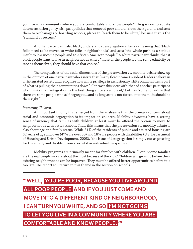you live in a community where you are comfortable and know people.'" He goes on to equate deconcentration policy with past policies that removed poor children from their parents and sent them to orphanages or boarding schools, places to "teach them to be white," because that is the "standard of success."

Another participant, also black, understands desegregation efforts as meaning that "black folks need to be moved to white folks' neighborhoods" and sees "the whole push as a serious insult to low income people and to African American people." A white participant thinks that if black people want to live in neighborhoods where "more of the people are the same ethnicity or race as themselves, they should have that choice."

The complexities of the racial dimensions of the preservation vs. mobility debate show up in the opinion of one participant who asserts that "many (low income) resident leaders believe in an integrated society and recognize how white privilege in exclusionary white communities is part of what is pulling their communities down." Contrast this view with that of another participant who thinks that "integration is the best thing since sliced bread," but has "come to realize that there are some people who self-segregate…and as long as it is not forced onto them...it should be their right."

#### *Protecting Children.*

An important finding that emerged from the analysis is that the primary concern about racial and economic segregation is its impact on children. Mobility advocates have a strong sense of urgency that families with children at least must be offered the option to move to neighborhoods with better schools. Thus, this means that the preservation vs. mobility debate is also about age and family status. While 31% of the residents of public and assisted housing are 62 years of age and over (47% are over 50) and 18% are people with disabilities (U.S. Department of Housing and Urban Development, 2008), "the issue of desegregation is simply not as pressing for the elderly and disabled from a societal or individual perspective."

 Mobility programs are primarily meant for families with children. "Low income families are the real people we care about the most because of the kids." Children will grow up before their existing neighborhoods can be improved. They must be offered better opportunities before it is too late. The report will return to this theme in the section on schools.

**"'WELL, YOU'RE POOR, BECAUSE YOU LIVE AROUND ALL POOR PEOPLE AND IF YOU JUST COME AND MOVE INTO A DIFFERENT KIND OF NEIGHBORHOOD, I CAN TURN YOU WHITE, AND SO I'M NOT GOING TO LET YOU LIVE IN A COMMUNITY WHERE YOU ARE COMFORTABLE AND KNOW PEOPLE. '"**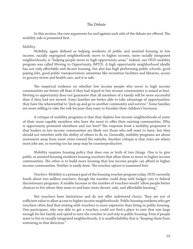#### **The Debate**

In this section, the core arguments for and against each side of the debate are offered. The mobility side is presented first.

#### *Mobility*.

Mobility, again defined as helping residents of public and assisted housing in low income, racially segregated neighborhoods move to higher income, more racially integrated neighborhoods, is "helping people move to high opportunity areas." Indeed, one HUD mobility program was called Moving to Opportunity (MTO). A high opportunity neighborhood ideally has not only affordable and decent housing, but also has high performing public schools, good paying jobs, good public transportation, amenities like recreation facilities and libraries, access to grocery stores and health care, and it is safe.

The empirical evidence on whether low income people who move to high income communities are better off than if they had stayed in low income communities is mixed at best. Moving to opportunity does not guarantee that all members of a family will be more successful than if they had not moved. Some families are better able to take advantage of opportunities; they have the wherewithal to "pick up and go to another community and survive." Some families are more willing to take the risk because they want to broaden their children's horizons.

 A critique of mobility programs is that they deplete low income neighborhoods of some of their most capable members who have the most to offer their existing communities. Why is opportunity promised elsewhere and not here? The response from a mobility proponent is that leaders in low income communities are likely not those who will want to leave, but they should not interfere with the ability of others to do so. Generally, mobility programs are about movement away from inner cities toward the suburbs. Another critique is that cities are where most jobs are, so moving too far away may be counterproductive.

 Mobility requires housing policy that does one or both of two things. One is to give public or assisted housing residents housing vouchers that allow them to move to higher income communities. The other is to build more housing that low income people can afford in higher income communities. Neither is easily done. The voucher option is examined first.

*Vouchers*. Mobility is a primary goal of the housing voucher program today. HUD currently funds about two million vouchers, though the number could drop with budget cuts to federal discretionary programs. A sizable increase in the number of vouchers would "allow people better chances to live where they want to and have more decent, safe, and affordable housing."

But vouchers have limitations and do not offer unfettered choice. They are not of sufficient value to allow access to higher income neighborhoods. Public housing residents who get vouchers often find that renting with vouchers is more expensive than living in public housing. One participant, who was able to get a voucher, could not find a place to rent that was large enough for her family and opted to turn the voucher in and stay in public housing. Even if people want to live in racially integrated neighborhoods, it is unaffordability that is "keeping them from venturing in that direction."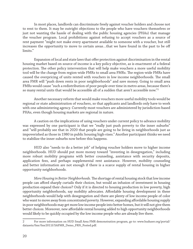In most places, landlords can discriminate freely against voucher holders and choose not to rent to them. It may be outright objections to the people who have vouchers themselves or just not wanting the hassle of dealing with the public housing agencies (PHAs) that manage the voucher program. Local prohibitions against refusing to accept vouchers as a source of rent payment "might not make every apartment available to someone with a voucher, but still increases the opportunity to move to certain areas…that we have found in the past to be off limits."

Expansion of local and state laws that offer protection against discrimination in the rental housing market based on source of income is a key policy objective, as is enactment of a federal protection. The other policy intervention that will help make vouchers a more useful mobility tool will be the change from region-wide FMRs to small area FMRs. The region-wide FMRs have caused the overpricing of units rented with vouchers in low income neighborhoods. The small area FMR will "push down rents in poor neighborhoods" and save money. Going to small area FMRs would cause "such a redistribution of poor people over time in metro areas, because there's so many rental units that would be accessible all of a sudden that aren't accessible now."2

 Another necessary reform that would make vouchers more useful mobility tools would be regional or state administration of vouchers, so that applicants and landlords only have to work with one administering agency. Currently most vouchers are administered by jurisdiction-based PHAs, even though housing markets are regional in nature.

 A caution on the implications of using vouchers under current policy to advance mobility was expressed by one participant is that we "really just push poverty to the inner suburbs" and "will probably see that in 2020 that people are going to be living in neighborhoods just as impoverished as those in 1980 in public housing high-rises." Another participant thinks we need to stabilize the inner suburbs now before this happens.

 HUD also "needs to do a better job" of helping voucher holders move to higher income neighborhoods. HUD should put more money toward "investing in desegregation," including more robust mobility programs with better counseling, assistance with security deposits, application fees, and perhaps supplemental rent assistance. However, mobility counseling and better information are not enough if there is a scarce supply of rental housing in higher opportunity neighborhoods.

*More Housing in Better Neighborhoods*. The shortage of rental housing stock that low income people can afford sharply curtails their choices, but would an infusion of investment in housing production expand their choices? Only if it is directed to housing production in low poverty, high opportunity neighborhoods, say mobility advocates. Affordable housing development in these neighborhoods would help with desegregation and there are plenty of low income people of color who want to move away from concentrated poverty. However, expanding affordable housing supply in poor neighborhoods may get more low income people into better homes, but it will not give them better choices. Moreover, new affordable rental housing added to high opportunity neighborhoods would likely to be quickly occupied by the low income people who are already live there.

<sup>2</sup> For more information on HUD Small Area FMR demonstration program, go to: www.huduser.org/portal/ datasets/fmr/fmr2011f/SAFMR\_Demo\_FRN\_Posted.pdf.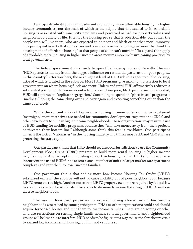Participants identify many impediments to adding more affordable housing in higher income communities, not the least of which is the stigma that is attached to it. Affordable housing is associated with inner city problems and perceived as bad for property values and neighborhood quality of life. It is not the housing per se that is objectionable, but rather the people who will live there, who are expected to be poor and black or another racial minority. One participant asserts that some cities and counties have made zoning decisions that limit the development of affordable housing "so that people of color can't move in." To expand the supply of affordable rental housing in higher income areas requires more inclusive zoning practices by local governments.

The federal government also needs to spend its housing money differently. The way "HUD spends its money is still the biggest influence on residential patterns of... poor people... in this country." After vouchers, the next highest level of HUD subsidies goes to public housing, little of which is located in the suburbs. Most HUD programs give maximum discretion to local governments on where housing funds are spent. Unless and until HUD affirmatively redirects a substantial portion of its resources outside of areas where poor, black people are concentrated, HUD will continue to "replicate segregation." Continuing to spend on "place-based" programs is "madness," doing the same thing over and over again and expecting something other than the same poor result.

 While the concentration of low income housing in inner cities cannot be rebalanced "overnight," more incentives are needed for community development corporations (CDCs) and other developers to build in higher income neighborhoods. These organizations may resist the use of HUD funding for mobility programs, because they "will take money away from their projects or threaten their bottom line," although some think this fear is overblown. One participant laments the lack of "visionaries" in the housing industry and thinks most PHA and CDC staff are protecting the status quo.

 One participant thinks that HUD should require local jurisdictions to use the Community Development Block Grant (CDBG) program to build more rental housing in higher income neighborhoods. Another option, modeling supportive housing, is that HUD should require or incentivize the use of HUD funds to rent a small number of units in larger market rate apartment complexes and rent them to lower income families.

 One participant thinks that adding more Low Income Housing Tax Credit (LIHTC) subsidized units in the suburbs will not advance mobility out of poor neighborhoods because LIHTC rents are too high. Another notes that LIHTC property owners are required by federal law to accept vouchers. She would also like states to do more to assure the siting of LIHTC units in diverse neighborhoods.

The use of foreclosed properties to expand housing choice beyond low income neighborhoods was raised by some participants. PHAs or other organizations could and should acquire foreclosed houses and rent them to low income families. There are no zoning or other land use restrictions on renting single family homes, so local governments and neighborhood groups will be less able to interfere. HUD needs to be figure out a way to use the foreclosure crisis to expand low income rental housing, but has not yet done so.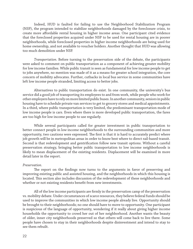Indeed, HUD is faulted for failing to use the Neighborhood Stabilization Program (NSP), the program intended to stabilize neighborhoods damaged by the foreclosure crisis, to create more affordable rental housing in higher income areas. One participant cited evidence that the foreclosed properties acquired under NSP to be used for rental housing are in poorer neighborhoods, while foreclosed properties in higher income neighborhoods are being used for home ownership, and not available to voucher holders. Another thought that HUD was allowing too much demolition under NSP.

*Transportation.* Before turning to the preservation side of the debate, the participants were asked to comment on public transportation as a component of achieving greater mobility for low income families. While public transit is seen as fundamental for low income people to get to jobs anywhere, no mention was made of it as a means for greater school integration, the core concern of mobility advocates. Further, cutbacks in local bus service in some communities have left low income people stranded, limiting access to better jobs.

 Alternatives to public transportation do exist. In one community, the university's bus service did a good job of transporting its employees to and from work, while people who work for other employers have to rely on more limited public buses. In another community, seniors in public housing have to schedule private van services to get to grocery stores and medical appointments. In a third, where public transportation is very limited, the predominant transportation mode of low income people is cars. Even where there is more developed public transportation, the fares are too high for low income people to use regularly.

 While several participants called for greater investment in public transportation to better connect people in low income neighborhoods to the surrounding communities and more opportunity, two cautions were expressed. The first is that it is hard to accurately predict where job growth will be in metropolitan areas in order to know best where to direct rail-based transit. Second is that redevelopment and gentrification follow new transit options. Without a careful preservation strategy, bringing better public transportation to low income neighborhoods is likely to mean displacement of the existing residents. Displacement will be examined in more detail later in the report.

#### *Preservation*.

The report on the findings now turns to the arguments in favor of preserving and improving existing public and assisted housing, and the neighborhoods in which this housing is located. This section also includes discussion of the redevelopment of these neighborhoods and whether or not existing residents benefit from new investments.

All of the low income participants are firmly in the preservation camp of the preservation vs. mobility debate. Under circumstances of scarce resources, they believe federal funds should be used to improve the communities in which low income people already live. Opportunity should be brought to their neighborhoods; no one should have to move to opportunity. One participant is suspicious of the language of opportunity, wondering if it really about giving higher income households the opportunity to crowd her out of her neighborhood. Another wants the beauty of older, inner city neighborhoods preserved so that others will come back to live there. Some people have chosen to stay in their neighborhoods despite disinvestment and intend to stay to see them rebuilt.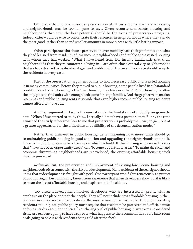Of note is that no one advocates preservation at all costs. Some low income housing and neighborhoods may be too far gone to save. Given resource constraints, housing and neighborhoods that offer the best potential should be the focus of preservation programs. Indeed, cities would be wise to concentrate their resources in neighborhoods where they can do the most good, rather than spend smaller amounts in more places with little lasting impact.

 Other participants who choose preservation over mobility base their preferences on what they had learned from residents of low income neighborhoods and public and assisted housing with whom they had worked. "What I have heard from low income families…is that the… neighborhoods that they're comfortable living in… are often those central city neighborhoods that we have deemed to be disadvantaged and problematic." However, the choice should be up to the residents in every case.

 Part of the preservation argument points to how necessary public and assisted housing is in many communities. Before they moved to public housing, some people lived in substandard conditions and public housing is the "best housing they have ever had." Public housing is often the only place to find units with enough bedrooms for large families. And the gap between market rate rents and public housing rents is so wide that even higher income public housing residents cannot afford to move out.

 Another argument in favor of preservation is the limitations of mobility programs to date. "When I first started to study this... I actually did not have a position on it. But by the time I finished the study, it became clear to me that preservation is probably the... way to go... out of a greater appreciation for the difficulties and fallibility of the deconcentration model."

 Rather than disinvest in public housing, as is happening now, more funds should go to maintaining public housing in good condition and upgrading the neighborhoods around it. The existing buildings serve as a base upon which to build. If this housing is preserved, places that "have not been opportunity areas" can "become opportunity areas." To maintain racial and economic diversity as neighborhoods are redeveloped, the existing affordable housing stock must be preserved.

*Redevelopment*. The preservation and improvement of existing low income housing and neighborhoods often comes with the risk of redevelopment. Many residents of these neighborhoods know that redevelopment is fraught with peril. One participant who fights tenaciously to protect public housing in her community knows from experience that when developers show up, it is likely to mean the loss of affordable housing and displacement of residents.

Too often redevelopment involves developers who are interested in profit, with an emphasis on the place and not the people. They will not include new affordable housing in their plans unless they are required to do so. Because redevelopment is harder to do with existing residents still in place, public policy must require that residents be protected and officials must enforce anti-displacement policies. "Vouchering out" of public housing in any form is considered risky. Are residents going to have a say over what happens to their communities or are back room deals going to be cut with residents being told after the fact?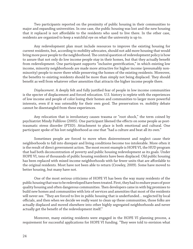Two participants reported on the proximity of public housing in their communities to major and expanding universities. In one case, the public housing was lost and the new housing that it replaced is not affordable to the residents who used to live there. In the other case, residents are organized to keep a watchful eye on what the university is up to.

 Any redevelopment plan must include resources to improve the existing housing for current residents, but, according to mobility advocates, should not add more housing that would bring more poor people to the neighborhood. The central question of redevelopment policy is how to assure that not only do low income people stay in their homes, but that they actually benefit from redevelopment. One participant supports "inclusive gentrification," in which existing low income, minority neighborhoods are made more attractive for higher income (presumably nonminority) people to move there while preserving the homes of the existing residents. Moreover, the benefits to existing residents should be more than simply not being displaced. They should benefit as well from whatever other amenities that attracts the higher income people there.

*Displacement*. A deeply felt and fully justified fear of people in low income communities is the specter of displacement and forced relocation. U.S. history is replete with the experiences of low income and people of color losing their homes and communities to larger more powerful interests, even if it was ostensibly for their own good. The preservation vs. mobility debate cannot be disentangled from these experiences.

 Any relocation that is involuntary causes trauma or "root shock," the term coined by psychiatrist Mindy Fullilove (2005). One participant likened the effects on some people as posttraumatic stress disorder (PTSD). Attachment to place is both emotional and cultural. One participant spoke of his lost neighborhood as one that "had a culture and beat all its own."

 Sometimes people are forced to move when disinvestment and neglect cause their neighborhoods to fall into disrepair and living conditions become too intolerable. More often it is the result of direct government action. The most recent example is HOPE VI, the HUD program that had both deconcentration of poverty and public housing redevelopment as its goals. Under HOPE VI, tens of thousands of public housing residents have been displaced. Old public housing has been replaced with mixed income neighborhoods with far fewer units that are affordable to the original residents. Most have not been able to return (Crowley, 2009). Some have moved to better housing, but many have not.

 One of the most serious criticisms of HOPE VI has been the way many residents of the public housing that was to be redeveloped have been treated. First, they had to endure years of poor quality housing and often dangerous communities. Then developers came in with big promises to build new homes and communities with lots of services and amenities that most of the residents will never see. "They are forced to live in public housing that is underfunded... neglected by local officials, and then when we decide we really want to clean up these communities, those folks are actually displaced and moved elsewhere into other highly segregated neighborhoods and never actually get the benefit of the redevelopment itself."

 Moreover, many existing residents were engaged in the HOPE VI planning process, a requirement for successful applications for HOPE VI funding. "They were told to envision what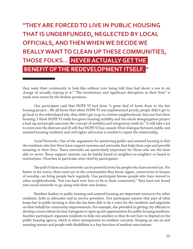### **"THEY ARE FORCED TO LIVE IN PUBLIC HOUSING THAT IS UNDERFUNDED, NEGLECTED BY LOCAL OFFICIALS, AND THEN WHEN WE DECIDE WE REALLY WANT TO CLEAN UP THESE COMMUNITIES, THOSE FOLKS… NEVER ACTUALLY GET THE BENEFIT OF THE REDEVELOPMENT ITSELF. "**

they want their community to look like without ever being told they had about a one in six change of actually staying in it." "The involuntary and significant disruption in their lives" is made even worse by the broken promises.

 One participant said that HOPE VI had done "a great deal of harm done to the fair housing project…We all know that when HOPE VI was implemented poorly, people didn't get to go back to the redeveloped site, they didn't get to go to a better neighborhood, they just lost their housing. I think HOPE VI really has given housing mobility and the whole desegregation project a bad rap and people associate the concept of mobility and integration (with it)." It will take a lot to overcome the distrust and ill will that HOPE VI has caused. More dialogue between public and assisted housing residents and civil rights advocates is needed to repair the relationship.

*Social Networks*. One of the arguments for preserving public and assisted housing is that the residents who live there have support systems and networks that help them cope and provide meaning in their lives. These networks are particularly important for those who are the least able to move. These support systems can be family-based or neighbor-to-neighbor or based in institutions. Churches in particular were cited by participants.

The pull of these social networks can be powerful even for people who have moved out. For better or for worse, their roots are in the communities they know. Again, connections to houses of worship can bring people back regularly. One participant knows people who have moved to other neighborhoods, "but run back over here to be in their community." They have not found new social networks to go along with their new homes.

 Resident leaders in public housing and assisted housing are important resources for other residents, both as advocates and as service providers. One participant reports that part of what keeps her in public housing is that she has been able to be a voice for the residents and negotiate on their behalf for community improvements. For example, she prevailed in getting city officials to develop a more robust Section 3 program to open up job opportunities for public housing residents. Another participant organizes residents to help one another so they do not have to depend on the public housing agency, which is often unresponsive to resident concerns. Keeping an eye on and assisting seniors and people with disabilities is a key function of resident associations.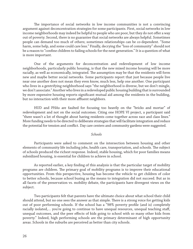The importance of social networks in low income communities is not a convincing argument against deconcentration strategies for some participants. First, social networks in low income neighborhoods may indeed be helpful to people who are poor, but they do not offer a way out of poverty. Second, there is no guarantee that social networks are always helpful. Sometimes people can demand too much of others; sometimes relationships can be co-dependent. "Some harm, some help, and some could care less." Finally, decrying the "loss of community" should not be a reason to "confine children to failing schools for the next generation." It is a question of what is more important.

 One of the arguments for deconcentration and redevelopment of low income neighborhoods, particularly public housing, is that the new mixed income housing will be more racially, as well as economically, integrated. The assumption may be that the residents will form new and maybe better social networks. Some participants report that just because people live near one another does not mean they even know, much less, help one another. One participant who lives in a gentrifying neighborhood says "the neighborhood is diverse, but we don't mingle, we don't associate." Another who lives in a redeveloped public housing building that is surrounded by more expensive housing reports significant mutual aid among the residents in the building, but no interaction with their more affluent neighbors.

 HUD and PHAs are faulted for focusing too heavily on the "bricks and mortar" of redevelopment and not on the social outcomes. Citing one HOPE VI project, a participant said "there wasn't a lot of thought about having residents come together across race and class lines." More funding needs to be directed to deliberate strategies that will facilitate integration and reduce the potential for tension and conflict. Day care centers and community gardens were suggested.

#### *Schools*

 Participants were asked to comment on the intersection between housing and other elements of community life including jobs, health care, transportation, and schools. The subject of schools produced the richest response. Indeed, stable housing, which for poor families means subsidized housing, is essential for children to achieve in school.

As reported earlier, a key finding of this analysis is that the particular target of mobility programs are children. The primary goal of mobility programs is to improve their educational opportunities. From this perspective, housing has become the vehicle to get children of color to better schools, because school busing as the means to integration did not succeed. But as in all facets of the preservation vs. mobility debate, the participants have divergent views on the subject.

 Two participants felt that parents have the ultimate choice about what school their child should attend, but no one sees the answer as that simple. There is a strong voice for getting kids out of poor performing schools. If the school has a "98% poverty profile (and is) completely racially isolated,... you're going to continue to have unequal resources, unequal teaching staff, unequal outcomes, and the peer effects of kids going to school with so many other kids from poverty." Indeed, high performing schools are the primary determinant of high opportunity areas. Schools in the suburbs are perceived as better than city schools.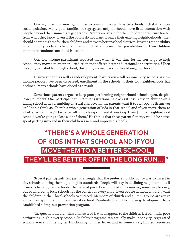One argument for moving families to communities with better schools is that it reduces social isolation. Many poor families in segregated neighborhoods have little interaction with people beyond their immediate geography. Parents are afraid for their children to venture too far from what they know. Even if the adults do not want to leave their existing neighborhoods, they should do what is best for their children and move to better school districts. It is the responsibility of community leaders to help families with children to see other possibilities for their children and not to condone continued isolation.

 One low income participant reported that when it was time for his son to go to high school, they moved to another jurisdiction that offered better educational opportunities. When his son graduated from high school, the family moved back to the old neighborhood.

 Disinvestment, as well as redevelopment, have taken a toll on inner city schools. As low income people have been dispersed, enrollment in the schools in their old neighborhoods has declined. Many schools have closed as a result.

 Sometimes parents argue to keep poor performing neighborhood schools open, despite lower numbers. One participant thinks this is irrational. He asks if it is racist to shut down a failing school with a crumbling physical plant even if the parents want it to stay open. His answer is: "I don't think so. There's a whole generation of kids in that school and if you move them to a better school, they'll be better off in the long run, and if you keep them [in the neighborhood school], you're going to lose a lot of them." He thinks that these parents' energy would be better spent getting involved in their children's new and improved schools.

## **"THERE'S A WHOLE GENERATION OF KIDS IN THAT SCHOOL AND IF YOU MOVE THEM TO A BETTER SCHOOL, THEY'LL BE BETTER OFF IN THE LONG RUN... "**

 Several participants felt just as strongly that the preferred public policy was to invest in city schools to bring them up to higher standards. People will stay in declining neighborhoods if it means helping their schools. The cycle of poverty is not broken by moving some people away, but by improving local schools for the benefit of every child. Even people without children want the children in their local schools to succeed. Members of church and alumni groups are active at mentoring children in one inner city school. Residents of a public housing development have established a drop-out prevention program.

The question that remains unanswered is what happens to the children left behind in poor performing, high poverty schools. Mobility programs can actually make inner city, segregated schools worse, as the higher functioning families leave, and in some cases, limited resources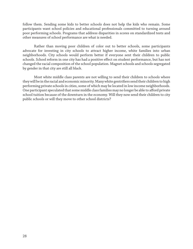follow them. Sending some kids to better schools does not help the kids who remain. Some participants want school policies and educational professionals committed to turning around poor performing schools. Programs that address disparities in scores on standardized tests and other measures of school performance are what is needed.

 Rather than moving poor children of color out to better schools, some participants advocate for investing in city schools to attract higher income, white families into urban neighborhoods. City schools would perform better if everyone sent their children to public schools. School reform in one city has had a positive effect on student performance, but has not changed the racial composition of the school population. Magnet schools and schools segregated by gender in that city are still all black.

 Most white middle class parents are not willing to send their children to schools where they will be in the racial and economic minority. Many white gentrifiers send their children to high performing private schools in cities, some of which may be located in low income neighborhoods. One participant speculated that some middle class families may no longer be able to afford private school tuition because of the downturn in the economy. Will they now send their children to city public schools or will they move to other school districts?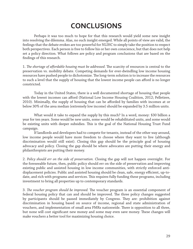# **CONCLUSIONS**

 Perhaps it was too much to hope for that this research would yield some new insight into resolving the dilemma. Alas, no such insight emerged. While all points of view are valid, the feelings that the debate evokes are too powerful for NLIHC to simply take the position to respect both perspectives. Each person is free to follow his or her own conscience, but that does not help set a policy direction. What follows are policy and program conclusions that are based on the findings of this research.

1. The shortage of affordable housing must be addressed. The scarcity of resources is central to the preservation vs. mobility debate. Competing demands for ever-dwindling low income housing resources have pushed people to dichotomize. The long-term solution is to increase the resources to such a level that the supply of housing that the lowest income people can afford is no longer constricted.

 Today in the United States, there is a well documented shortage of housing that people with the lowest incomes can afford (National Low Income Housing Coalition, 2012; Pelletiere, 2010). Minimally, the supply of housing that can be afforded by families with incomes at or below 30% of the area median (extremely low income) should be expanded by 3.5 million units.

 What would it take to expand the supply by this much? In a word, money: \$30 billion a year for ten years. Some would be new units, some would be rehabilitated units, and some would be existing units with deeper subsidies. This is the goal of the National Housing Trust Fund campaign.

 If landlords and developers had to compete for tenants, instead of the other way around, low income people would have more freedom to choose where they want to live (although discrimination would still exist). Closing this gap should be the principle goal of housing advocacy and policy. Closing the gap should be where advocates are putting their energy and philanthropists are putting their money.

2. *Policy should err on the side of preservation.* Closing the gap will not happen overnight. For the foreseeable future, then, public policy should err on the side of preservation and improving existing public and assisted housing in low income communities, with strictly enforced antidisplacement policies. Public and assisted housing should be clean, safe, energy efficient, up-todate, and rich with programs and services. This requires fully funding these programs, including investment to bring all properties up to contemporary standards.

3. The voucher program should be improved. The voucher program is an essential component of federal housing policy that can and should be improved. The three policy changes suggested by participants should be passed immediately by Congress. They are: prohibition against discrimination in housing based on source of income, regional and state administration of vouchers, and implementation of small area FMRs nationwide. There is opposition to all three, but none will cost significant new money and some may even save money. These changes will make vouchers a better tool for maximizing housing choice.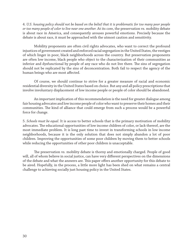4. *U.S. housing policy should not be based on the belief that it is problematic for too many poor people or too many people of color to live near one another.* At its core, the preservation vs. mobility debate is about race in America, and consequently arouses powerful emotions. Precisely because the debate is about race, it must be approached with the utmost caution and sensitivity.

 Mobility proponents are often civil rights advocates, who want to correct the profound injustices of government created and enforced racial segregation in the United States, the vestiges of which linger in poor, black neighborhoods across the country. But preservation proponents are often low income, black people who object to the characterization of their communities as inferior and dysfunctional by people of any race who do not live there. The sins of segregation should not be replicated by the sins of deconcentration. Both fail to respect the agency of the human beings who are most affected.

 Of course, we should continue to strive for a greater measure of racial and economic residential diversity in the United States based on choice. But any and all policy prescriptions that involve involuntary displacement of low income people or people of color should be abandoned.

 An important implication of this recommendation is the need for greater dialogue among fair housing advocates and low income people of color who want to preserve their homes and their communities. The kind of alliance that could emerge from such a process would be a powerful force for change.

5. *Schools must be equal*. It is access to better schools that is the primary motivation of mobility advocates. The educational opportunities of low income children of color, or lack thereof, are the most immediate problem. It is long past time to invest in transforming schools in low income neighborhoods, because it is the only solution that does not simply abandon a lot of poor children. Improving the opportunities of some poor children by moving them to better schools while reducing the opportunities of other poor children is unacceptable.

The preservation vs. mobility debate is thorny and emotionally charged. People of good will, all of whom believe in social justice, can have very different perspectives on the dimensions of the debate and what the answers are. This paper offers another opportunity for this debate to be aired. Hopefully, in the process, a little more light has been shed on what remains a central challenge to achieving socially just housing policy in the United States.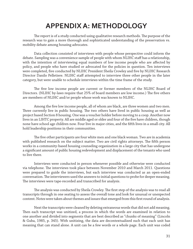### **APPENDIX A: METHODOLOGY**

The report is of a study conducted using qualitative research methods. The purpose of the research was to gain a more thorough and sophisticated understanding of the preservation vs. mobility debate among housing advocates.

 Data collection consisted of interviews with people whose perspective could inform the debate. Sampling was a convenience sample of people with whom NLIHC staff has a relationship, with the intention of interviewing equal numbers of low income people who are affected by policy, and people who have studied or advocated for the policies in question. Ten interviews were completed, five conducted by NLIHC President Sheila Crowley and five by NLIHC Research Director Danilo Pelletiere. NLIHC staff attempted to interview three other people in the later category, but were unable to schedule interviews within the time frame of the study.

The five low income people are current or former members of the NLIHC Board of Directors. (NLIHC by-laws require that 25% of board members are low income.) The five others are members of NLIHC and/or people whose work was known to NLIHC.

Among the five low income people, all of whom are black, are three women and two men. Three currently live in public housing. The two others have lived in public housing as well as project based Section 8 housing. One was a voucher holder before moving to a coop. Another now lives in an LIHTC property. All are middle aged or older and four of the five have children, though none have school age children now. Four live in major cities, and the fifth lives in a small city. All hold leadership positions in their communities.

The five other participants are four white men and one black woman. Two are in academia with published research on the subject matter. Two are civil rights attorneys. The fifth person works in a community-based housing counseling organization in a large city that has undergone a significant amount of public housing redevelopment and displacement of the tenants who used to live there.

 Interviews were conducted in person whenever possible and otherwise were conducted via telephone. The interviews took place between November 2010 and March 2011. Questions were prepared to guide the interviews, but each interview was conducted as an open-ended conversation. The interviewers used the answers to initial questions to probe for deeper meaning. The interviews were tape-recorded and transcribed for analysis.

The analysis was conducted by Sheila Crowley. The first step of the analysis was to read all transcripts through in one seating to assess the overall tone and look for unusual or unexpected content. Notes were taken about themes and issues that emerged from this first round of analysis.

 Next the transcripts were cleaned by deleting extraneous words that did not add meaning. Then each transcript was unitized, a process in which the words are examined in relation to one another and divided into segments that are best described as "chunks of meaning" (Lincoln & Guba, 1985, p. 345). With unitizing, the data are decontextualized such that each unit has meaning that can stand alone. A unit can be a few words or a whole page. Each unit was coded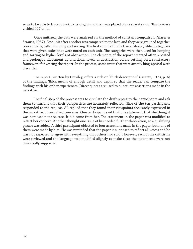so as to be able to trace it back to its origin and then was placed on a separate card. This process yielded 427 units.

 Once unitized, the data were analyzed via the method of constant comparison (Glaser & Strauss, 1967). One unit after another was compared to the last, and they were grouped together conceptually, called lumping and sorting. The first round of inductive analysis yielded categories that were given codes that were noted on each unit. The categories were then used for lumping and sorting to higher levels of abstraction. The elements of the report emerged after repeated and prolonged movement up and down levels of abstraction before settling on a satisfactory framework for writing the report. In the process, some units that were strictly biographical were discarded.

The report, written by Crowley, offers a rich or "thick description" (Geertz, 1973, p. 6) of the findings. Thick means of enough detail and depth so that the reader can compare the findings with his or her experiences. Direct quotes are used to punctuate assertions made in the narrative.

The final step of the process was to circulate the draft report to the participants and ask them to warrant that their perspectives are accurately reflected. Nine of the ten participants responded to the request. All replied that they found their viewpoints accurately expressed in the narrative. Three raised concerns. One participant said that one statement that she thought was hers was not accurate. It did come from her. The statement in the paper was modified to reflect her concern. Another thought one issue of his needed further elaboration, so a qualifying phrase was added. A third participant objected to four assertions made in the paper, but none of them were made by him. He was reminded that the paper is supposed to reflect all voices and he was not expected to agree with everything that others had said. However, each of his criticisms were reviewed and the language was modified slightly to make clear the statements were not universally supported.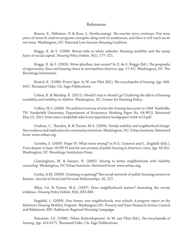#### References

Bravve, E., Pelletiere, D. & Ross, L. (forthcoming). *The voucher story continues: Five more years of research confi rms programs strengths along with its weaknesses, and there is still much we do not know.* Washington, DC: National Low Income Housing Coalition.

 Briggs, X. de S. (1998). Brown kids in white suburbs: Housing mobility and the many faces of social capital. *Housing Policy Debate*, 9(1), 177–221.

Briggs, X. de S. (2005). More pluribus, less unum? In X. de S. Briggs (Ed.), *The geography of opportunity: Race and housing choice in metropolitan America*, (pp. 17-41). Washington, DC: The Brookings Institution.

Bristol, K. (1998). Pruitt-Igoe. In W. van Vliet (Ed.), *The encyclopedia of housing*, (pp. 440-441). Thousand Oaks, CA: Sage Publications.

Cohen, R. & Wardrip, K. (2011). *Should I stay or should I go? Exploring the effects of housing instability and mobility on children*. Washington, DC: Center for Housing Policy.

Collins, W.J. (2004). *The political economy of state fair housing laws prior to 1968*. Nashville, TN: Vanderbilt University, Department of Economics Working Paper No. 04-W13. Retrieved May 15, 2011 from www.vanderbilt.edu/econ/wparchive/workpaper/vu04-w13.pdf.

Coulton, C., Theodos, B. & Turner, M.A. (2009). *Family mobility and neighborhood change: New evidence and implication for community initiatives*. Washington, DC: Urban Institute. Retrieved from: www.urban.org.

 Crowley, S. (2009). Hope VI: What went wrong? In H.G. Cisneros and L. Engdahl (Eds.), *From despair to hope: HOPE VI and the new promise of public housing in America's cities*, (pp. 63-81). Washington, DC: Brookings Institution Press.

 Cunningham, M. & Sawyer, N. (2005). *Moving to better neighborhoods with mobility counseling*. Washington, DC Urban Institute. Retrieved from: www.urban.org.

Curley, A.M. (2009). Draining or gaining? The social network of public housing movers in Boston. *Journal of Social and Personal Relationships*, 26, 227.

 Ellen, I.G. & Turner, M.A. (1997). Does neighborhood matter? Assessing the recent evidence. *Housing Policy Debate*, 8(4), 833-866.

 Engdahl, L. (2009). *New homes, new neighborhoods, new schools: A progress report on the Baltimore Housing Mobility Program*. Washington DC: Poverty and Race Research Action Council and Baltimore, MD: Baltimore Regional Housing Campaign.

Fainstein, S.S. (1998). Urban Redevelopment. In W. van Vliet (Ed.), *The encyclopedia of housing*, (pp. 414-617). Thousand Oaks, CA: Sage Publications.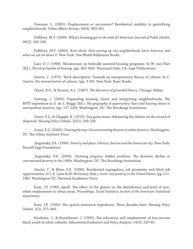Freeman, L. (2005). Displacement or succession? Residential mobility in gentrifying neighborhoods. *Urban Affairs Review*, 40(4), 463-491.

 Fullilove, M.T. (2000). What's housing got to do with it? *American Journal of Public Health*, 90(2), 183-184.

 Fullilove, M.T. (2005). *Root shock: How tearing up city neighborhoods hurts America, and what we can do about it*. New York: One World Ballantine Books.

 Garr, D J. (1998). Moratorium on federally assisted housing programs. In W. van Vliet (Ed.), *The encyclopedia of housing*, (pp. 362-363). Thousand Oaks, CA: Sage Publications.

Geertz, C. (1973). Thick description: Towards an interpretative theory of culture. In C. Geertz, *The interpretation of cultures*, (pp. 3-30). New York: Basic Books.

Glaser, B.G., & Strauss, A.L. (1967). *The discovery of grounded theory*. Chicago: Aldine.

Goering, J. (2005). Expanding housing choice and integrating neighborhoods: The MTO experience in X. de S. Briggs (Ed.), *The geography of opportunity: Race and housing choice in* metropolitan America, (pp. 127-149). Washington, DC: The Brookings Institution.

 Goetz, E.G. & Chapple, K. (2010). You gotta move: Advancing the debate on the record of dispersal. *Housing Policy Debate*, 20(2), 209-236.

 Goetz, E.G. (2003). *Clearing the way: Deconcentrating the poor in urban America.* Washington, DC: The Urban Institute Press.

 Jargowsky, P.A. (1996). *Poverty and place: Ghettos, barrios and the American city.* New York: Russell Sage Foundation.

Jargowsky, P.A. (2003). *Stunning progress, hidden problems: The dramatic decline in concentrated poverty in the 1990s*. Washington, DC: The Brookings Institution.

 Jencks, C. & Myer, S.E. (1990). Residential segregation, job proximity and black job opportunities. In L.E. Lynn & M. McGreary (Eds.), *Inner-city poverty in the United States*, (pp.111- 186). Washington DC: National Academics Press.

Kain, J.F. (1965, April). The effect of the ghetto on the distribution and level of nonwhite employment in urban areas. *Proceedings, Social Statistics Section of the American Statistical Association.*

Kain, J.F. (1992). The spatial mismatch hypothesis: Three decades later. *Housing Policy Debate*, 3(2), 371-460.

Kaufman, J., & Rosenbaum, J. (1992). The education and employment of low-income black youth in white suburbs. *Educational Evaluation and Policy Analysis*, 14(3), 229-40.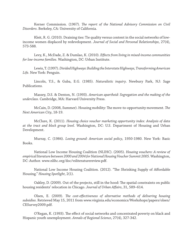Kerner Commission. (1967). *The report of the National Advisory Commission on Civil Disorders*. Berkeley, CA: University of California.

 Kleit, R. G. (2010). Draining ties: Tie quality versus content in the social networks of lowincome women displaced by redevelopment. *Journal of Social and Personal Relationships*, 27(4), 573-588.

 Levy, K., McDade, Z. & Dumlao, K. (2010). *Eff ects from living in mixed-income communities for low-income families*. Washington, DC: Urban Institute.

 Lewis, T. (1997). *Divided Highways: Building the Interstate Highways, Transforming American Life*. New York: Penguin.

 Lincoln, Y.S., & Guba, E.G. (1985). *Naturalistic inquiry*. Newbury Park, NJ: Sage Publications.

 Massey, D.S. & Denton, N. (1993). *American apartheid: Segregation and the making of the underclass*. Cambridge, MA: Harvard University Press.

McCain, D. (2008, Summer). Housing mobility: The move-to-opportunity movement. The *Next American City*, 18-19.

 McClure, K. (2011). *Housing choice voucher marketing opportunity index: Analysis of data at the tract and block group level*. Washington, DC: U.S. Department of Housing and Urban Development.

 Murray, C. (1984). *Losing ground: American social policy*, 1950-1980. New York: Basic Books.

 National Low Income Housing Coalition (NLIHC). (2005). *Housing vouchers: A review of empirical literature between 2000 and 2004 for National Housing Voucher Summit 2005.* Washington, DC: Author. www.nlihc.org/doc/vsliteraturereview.pdf.

National Low Income Housing Coalition. (2012). "The Shrinking Supply of Affordable Housing." *Housing Spotlight*, 2(1).

Oakley, D. (2009). Out of the projects, still in the hood: The spatial constraints on public housing residents' relocation in Chicago. Journal of Urban Affairs, 31, 589-614.

Olsen, E. (2009). *The cost-effectiveness of alternative methods of delivering housing subsidies*. Retrieved May 15, 2011 from www.virginia.edu/economics/Workshops/papers/olsen/ CESurvey2009.pdf.

O'Regan, K. (1993). The effect of social networks and concentrated poverty on black and Hispanic youth unemployment. *Annals of Regional Science*, 27(4), 327-342.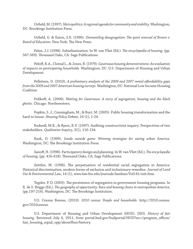Orfield, M. (1997). *Metropolitics: A regional agenda for community and stability*. Washington, DC: Brookings Institution Press.

Orfield, G. & Eaton, S.E. (1996). *Dismantling desegregation: The quiet reversal of Brown v.* Board of Education. New York: The New Press.

Palen, J.J. (1998). Suburbanization. In W. van Vliet (Ed.). *The encyclopedia of housing*, (pp. 567-569). Thousand Oaks, CA: Sage Publications.

 Pefoff , K.A., Cloteal L., & Jones, R. (1979). *Gautreaux housing demonstrations: An evaluation of impacts on participating households*. Washington, DC: U.S. Department of Housing and Urban Development.

Pelletiere, D. (2010). *A preliminary analysis of the 2009 and 2007 rental affordability gaps from the 2009 and 2007 American housing surveys*. Washington, DC: National Low Income Housing Coalition.

Polikoff, A. (2006). *Waiting for Gautreaux: A story of segregation, housing and the black ghetto*. Chicago: Northwestern.

 Popkin, S. J., Cunningham, M., & Burt, M. (2005). Public housing transformation and the hard to house. *Housing Policy Debate*, 16 (1), 1-24.

 Rodwell, M.K., & Byers, K.V. (1997). Auditing constructivist inquiry: Perspectives of two stakeholders. *Qualitative Inquiry*, 3(1), 116-134.

 Rusk, D. (1999). *Inside outside game: Winning strategies for saving urban America.*  Washington, DC: The Brookings Institution Press.

Sanoff, H. (1998). Participatory design and planning. In W. van Vliet (Ed.), *The encyclopedia* of housing, (pp. 416-418). Thousand Oaks, CA: Sage Publications.

Seittles, M. (1996). The perpetuation of residential racial segregation in America: Historical discrimination, modern forms of exclusion and inclusionary remedies. *Journal of Land Use & Environmental Law*, 14 (1), www.law.fsu.edu/journals/landuse/Vol141/seit.htm.

Tegeler, P. D. (2005). The persistence of segregation in government housing programs. In X. de S. Briggs (Ed.), *The geography of opportunity: Race and housing choice in metropolitan America*, (pp.197-216). Washington, DC: The Brookings Institution.

 U.S. Census Bureau. (2010). *2010 census: People and households*. http://2010.census. gov/2010census.

 U.S. Department of Housing and Urban Development (HUD). (ND). *History of fair housing*. Retrieved July 6, 2011, from portal.hud.gov/hudportal/HUD?src=/program\_offices/ fair\_housing\_equal\_opp/aboutfheo/history.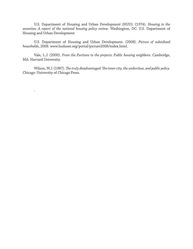U.S. Department of Housing and Urban Development (HUD). (1974). *Housing in the seventies: A report of the national housing policy review*. Washington, DC: U.S. Department of Housing and Urban Development.

 U.S. Department of Housing and Urban Development. (2008). *Picture of subsidized households*, 2008. www.huduser.org/portal/picture2008/index.html.

 Vale, L.J. (2000). *From the Puritans to the projects: Public housing neighbors*. Cambridge, MA: Harvard University.

Wilson, W.J. (1987). *The truly disadvantaged: The inner city, the underclass, and public policy*. Chicago: University of Chicago Press.

.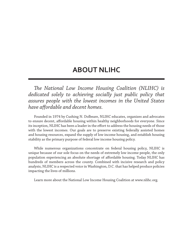### **ABOUT NLIHC**

*The National Low Income Housing Coalition (NLIHC) is dedicated solely to achieving socially just public policy that assures people with the lowest incomes in the United States have aff ordable and decent homes.* 

 Founded in 1974 by Cushing N. Dolbeare, NLIHC educates, organizes and advocates to ensure decent, affordable housing within healthy neighborhoods for everyone. Since its inception, NLIHC has been a leader in the effort to address the housing needs of those with the lowest incomes. Our goals are to preserve existing federally assisted homes and housing resources, expand the supply of low income housing, and establish housing stability as the primary purpose of federal low income housing policy.

 While numerous organizations concentrate on federal housing policy, NLIHC is unique because of our sole focus on the needs of extremely low income people, the only population experiencing an absolute shortage of affordable housing. Today NLIHC has hundreds of members across the county. Combined with incisive research and policy analysis, NLIHC is a respected voice in Washington, D.C. that has helped produce policies impacting the lives of millions.

Learn more about the National Low Income Housing Coalition at www.nlihc.org.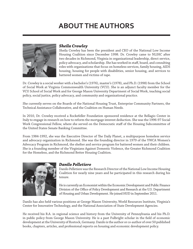## **ABOUT THE AUTHORS**



#### *Sheila Crowley*

Sheila Crowley has been the president and CEO of the National Low Income Housing Coalition since December 1998. Dr. Crowley came to NLIHC after two decades in Richmond, Virginia in organizational leadership, direct service, policy advocacy, and scholarship. She has worked in staff, board, and consulting roles with organizations that focus on homeless services, family housing, AIDS housing, housing for people with disabilities, senior housing, and services to battered women and victims of rape.

Dr. Crowley is a social worker with a bachelor's (1976), master's (1978), and Ph.D. (1998) from the School of Social Work at Virginia Commonwealth University (VCU). She is an adjunct faculty member for the VCU School of Social Work and for George Mason University Department of Social Work, teaching social policy, social justice, policy advocacy, and community and organizational practice.

She currently serves on the Boards of the National Housing Trust, Enterprise Community Partners, the Technical Assistance Collaborative, and the Coalition on Human Needs.

In 2010, Dr. Crowley received a Rockefeller Foundation sponsored residence at the Bellagio Center in Italy to engage in research on how to reform the mortgage interest deduction. She was the 1996-97 Social Work Congressional Fellow, where she served on the Democratic staff of the Housing Subcommittee of the United States Senate Banking Committee.

From 1984-1992, she was the Executive Director of The Daily Planet, a multipurpose homeless service and advocacy organization in Richmond. She was the founding director in 1979 of the YWCA Women's Advocacy Program in Richmond, the shelter and service program for battered women and their children. She is a founding member of the Virginians Against Domestic Violence, the Greater Richmond Coalition for the Homeless, and the Richmond Better Housing Coalition.



#### *Danilo Pelletiere*

Danilo Pelletiere was the Research Director of the National Low Income Housing Coalition for nearly nine years and he participated in this research during his tenure.

He is currently an Economist within the Economic Development and Public Finance Division of the Office of Policy Development and Research at the U.S. Department of Housing and Urban Development. He joined HUD in September 2011.

Danilo has also held various positions at George Mason University, World Resources Institute, Virginia's Center for Innovative Technology, and the National Association of State Development Agencies.

He received his B.A. in regional science and history from the University of Pennsylvania and his Ph.D. in public policy from George Mason University. He is a past Fulbright scholar in the field of economic development at the University of Rostock, Germany. Danilo is the author or co-author of over 50 published books, chapters, articles, and professional reports on housing and economic development policy.